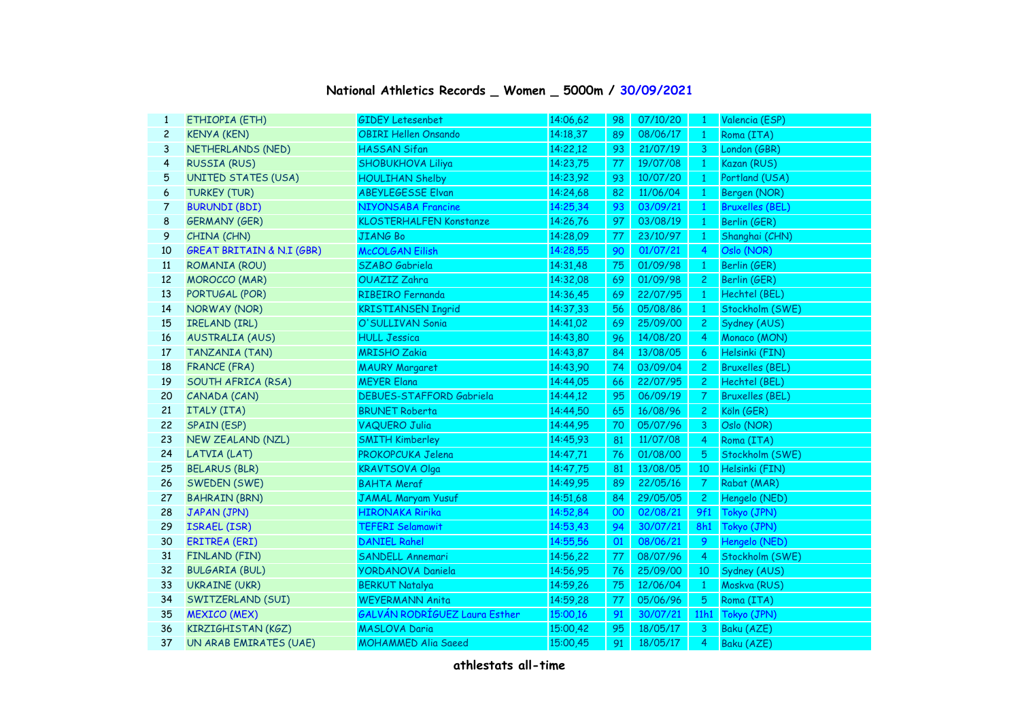## **National Athletics Records \_ Women \_ 5000m / 30/09/2021**

| ETHIOPIA (ETH)                       | <b>GIDEY Letesenbet</b>         | 14:06,62 | 98 | 07/10/20 | $\mathbf{1}$   | Valencia (ESP)         |
|--------------------------------------|---------------------------------|----------|----|----------|----------------|------------------------|
| <b>KENYA (KEN)</b>                   | <b>OBIRI Hellen Onsando</b>     | 14:18,37 | 89 | 08/06/17 | $\mathbf{1}$   | Roma (ITA)             |
| NETHERLANDS (NED)                    | <b>HASSAN Sifan</b>             | 14:22,12 | 93 | 21/07/19 | 3              | London (GBR)           |
| <b>RUSSIA (RUS)</b>                  | <b>SHOBUKHOVA Liliya</b>        | 14:23,75 | 77 | 19/07/08 | -1             | Kazan (RUS)            |
| <b>UNITED STATES (USA)</b>           | <b>HOULIHAN Shelby</b>          | 14:23,92 | 93 | 10/07/20 | -1             | Portland (USA)         |
| <b>TURKEY (TUR)</b>                  | <b>ABEYLEGESSE Elvan</b>        | 14:24,68 | 82 | 11/06/04 | $\mathbf{1}$   | Bergen (NOR)           |
| <b>BURUNDI (BDI)</b>                 | <b>NIYONSABA Francine</b>       | 14:25,34 | 93 | 03/09/21 | $\mathbf{1}$   | <b>Bruxelles (BEL)</b> |
| <b>GERMANY (GER)</b>                 | <b>KLOSTERHALFEN Konstanze</b>  | 14:26,76 | 97 | 03/08/19 | $\mathbf{1}$   | Berlin (GER)           |
| CHINA (CHN)                          | <b>JIANG Bo</b>                 | 14:28,09 | 77 | 23/10/97 | $\mathbf{1}$   | Shanghai (CHN)         |
| <b>GREAT BRITAIN &amp; N.I (GBR)</b> | <b>McCOLGAN Eilish</b>          | 14:28,55 | 90 | 01/07/21 | $\overline{4}$ | Oslo (NOR)             |
| ROMANIA (ROU)                        | SZABO Gabriela                  | 14:31,48 | 75 | 01/09/98 | 1              | Berlin (GER)           |
| <b>MOROCCO (MAR)</b>                 | OUAZIZ Zahra                    | 14:32,08 | 69 | 01/09/98 | $\overline{2}$ | Berlin (GER)           |
| PORTUGAL (POR)                       | <b>RIBEIRO Fernanda</b>         | 14:36,45 | 69 | 22/07/95 | $\mathbf{1}$   | Hechtel (BEL)          |
| NORWAY (NOR)                         | <b>KRISTIANSEN Ingrid</b>       | 14:37,33 | 56 | 05/08/86 | $\mathbf{1}$   | Stockholm (SWE)        |
| IRELAND (IRL)                        | O'SULLIVAN Sonia                | 14:41.02 | 69 | 25/09/00 | $\mathbf{2}$   | Sydney (AUS)           |
| <b>AUSTRALIA (AUS)</b>               | <b>HULL Jessica</b>             | 14:43,80 | 96 | 14/08/20 | 4              | Monaco (MON)           |
| TANZANIA (TAN)                       | <b>MRISHO Zakia</b>             | 14:43,87 | 84 | 13/08/05 | 6              | Helsinki (FIN)         |
| <b>FRANCE (FRA)</b>                  | <b>MAURY Margaret</b>           | 14:43,90 | 74 | 03/09/04 | $\mathbf{2}$   | <b>Bruxelles (BEL)</b> |
| SOUTH AFRICA (RSA)                   | <b>MEYER Elana</b>              | 14:44,05 | 66 | 22/07/95 | $\mathbf{2}$   | Hechtel (BEL)          |
| CANADA (CAN)                         | <b>DEBUES-STAFFORD Gabriela</b> | 14:44,12 | 95 | 06/09/19 | $\mathcal{T}$  | <b>Bruxelles (BEL)</b> |
| ITALY (ITA)                          | <b>BRUNET Roberta</b>           | 14:44,50 | 65 | 16/08/96 | $\mathbf{2}$   | Köln (GER)             |
| <b>SPAIN (ESP)</b>                   | <b>VAQUERO Julia</b>            | 14:44,95 | 70 | 05/07/96 | 3              | Oslo (NOR)             |
| <b>NEW ZEALAND (NZL)</b>             | <b>SMITH Kimberley</b>          | 14:45,93 | 81 | 11/07/08 | $\overline{4}$ | Roma (ITA)             |
| LATVIA (LAT)                         | PROKOPCUKA Jelena               | 14:47,71 | 76 | 01/08/00 | $5^{\circ}$    | Stockholm (SWE)        |
| <b>BELARUS (BLR)</b>                 | <b>KRAVTSOVA Olga</b>           | 14:47,75 | 81 | 13/08/05 | 10             | Helsinki (FIN)         |
| SWEDEN (SWE)                         | <b>BAHTA Meraf</b>              | 14:49,95 | 89 | 22/05/16 | $\overline{7}$ | Rabat (MAR)            |
| <b>BAHRAIN (BRN)</b>                 | JAMAL Maryam Yusuf              | 14:51,68 | 84 | 29/05/05 | $\mathbf{2}$   | Hengelo (NED)          |
| JAPAN (JPN)                          | <b>HIRONAKA Ririka</b>          | 14:52,84 | 00 | 02/08/21 | 9f1            | Tokyo (JPN)            |
| <b>ISRAEL (ISR)</b>                  | <b>TEFERI Selamawit</b>         | 14:53,43 | 94 | 30/07/21 | 8h1            | Tokyo (JPN)            |
| <b>ERITREA (ERI)</b>                 | <b>DANIEL Rahel</b>             | 14:55,56 | 01 | 08/06/21 | 9              | Hengelo (NED)          |
| <b>FINLAND (FIN)</b>                 | SANDELL Annemari                | 14:56,22 | 77 | 08/07/96 | $\overline{4}$ | Stockholm (SWE)        |
| <b>BULGARIA (BUL)</b>                | <b>YORDANOVA Daniela</b>        | 14:56,95 | 76 | 25/09/00 | 10             | Sydney (AUS)           |
| <b>UKRAINE (UKR)</b>                 | <b>BERKUT Natalya</b>           | 14:59,26 | 75 | 12/06/04 | $\mathbf{1}$   | Moskva (RUS)           |
| SWITZERLAND (SUI)                    | <b>WEYERMANN Anita</b>          | 14:59,28 | 77 | 05/06/96 | 5              | Roma (ITA)             |
| <b>MEXICO (MEX)</b>                  | GALVÁN RODRÍGUEZ Laura Esther   | 15:00,16 | 91 | 30/07/21 | 11h1           | Tokyo (JPN)            |
| <b>KIRZIGHISTAN (KGZ)</b>            | <b>MASLOVA Daria</b>            | 15:00,42 | 95 | 18/05/17 | 3              | Baku (AZE)             |
| UN ARAB EMIRATES (UAE)               | <b>MOHAMMED Alia Saeed</b>      | 15:00,45 | 91 | 18/05/17 | 4              | Baku (AZE)             |
|                                      |                                 |          |    |          |                |                        |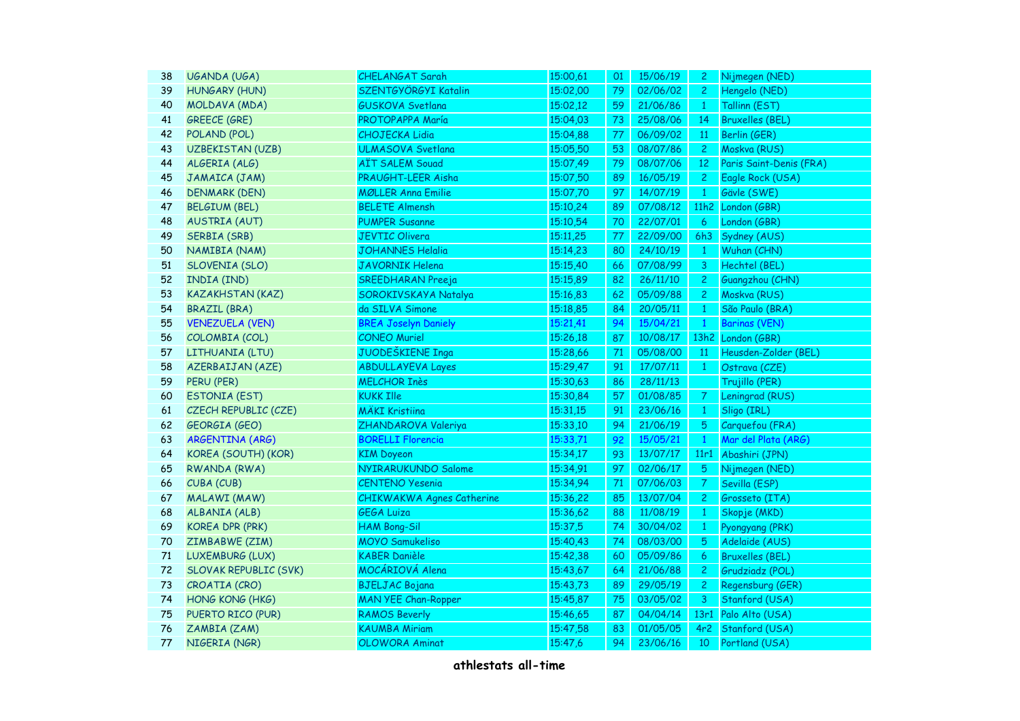| 38 | UGANDA (UGA)                 | <b>CHELANGAT Sarah</b>           | 15:00,61 | 01 | 15/06/19 | $\mathbf{2}$   | Nijmegen (NED)          |
|----|------------------------------|----------------------------------|----------|----|----------|----------------|-------------------------|
| 39 | <b>HUNGARY (HUN)</b>         | SZENTGYÖRGYI Katalin             | 15:02,00 | 79 | 02/06/02 | $\mathbf{2}$   | Hengelo (NED)           |
| 40 | MOLDAVA (MDA)                | <b>GUSKOVA Svetlana</b>          | 15:02,12 | 59 | 21/06/86 | $\mathbf{1}$   | Tallinn (EST)           |
| 41 | <b>GREECE (GRE)</b>          | PROTOPAPPA María                 | 15:04,03 | 73 | 25/08/06 | 14             | <b>Bruxelles (BEL)</b>  |
| 42 | POLAND (POL)                 | <b>CHOJECKA Lidia</b>            | 15:04,88 | 77 | 06/09/02 | 11             | Berlin (GER)            |
| 43 | <b>UZBEKISTAN (UZB)</b>      | <b>ULMASOVA Svetlana</b>         | 15:05,50 | 53 | 08/07/86 | $\overline{c}$ | Moskva (RUS)            |
| 44 | ALGERIA (ALG)                | <b>AÏT SALEM Souad</b>           | 15:07,49 | 79 | 08/07/06 | 12             | Paris Saint-Denis (FRA) |
| 45 | JAMAICA (JAM)                | PRAUGHT-LEER Aisha               | 15:07,50 | 89 | 16/05/19 | $\overline{2}$ | Eagle Rock (USA)        |
| 46 | <b>DENMARK (DEN)</b>         | <b>MØLLER Anna Emilie</b>        | 15:07,70 | 97 | 14/07/19 | $\mathbf{1}$   | Gävle (SWE)             |
| 47 | <b>BELGIUM (BEL)</b>         | <b>BELETE Almensh</b>            | 15:10,24 | 89 | 07/08/12 | 11h2           | London (GBR)            |
| 48 | <b>AUSTRIA (AUT)</b>         | <b>PUMPER Susanne</b>            | 15:10,54 | 70 | 22/07/01 | 6              | London (GBR)            |
| 49 | <b>SERBIA (SRB)</b>          | <b>JEVTIC Olivera</b>            | 15:11,25 | 77 | 22/09/00 | 6h3            | Sydney (AUS)            |
| 50 | NAMIBIA (NAM)                | <b>JOHANNES Helalia</b>          | 15:14,23 | 80 | 24/10/19 | $\mathbf{1}$   | Wuhan (CHN)             |
| 51 | SLOVENIA (SLO)               | <b>JAVORNIK Helena</b>           | 15:15,40 | 66 | 07/08/99 | 3              | Hechtel (BEL)           |
| 52 | INDIA (IND)                  | SREEDHARAN Preeja                | 15:15,89 | 82 | 26/11/10 | $\mathbf{2}$   | Guangzhou (CHN)         |
| 53 | <b>KAZAKHSTAN (KAZ)</b>      | SOROKIVSKAYA Natalya             | 15:16,83 | 62 | 05/09/88 | $\overline{c}$ | Moskva (RUS)            |
| 54 | <b>BRAZIL (BRA)</b>          | da SILVA Simone                  | 15:18,85 | 84 | 20/05/11 | $\mathbf{1}$   | São Paulo (BRA)         |
| 55 | <b>VENEZUELA (VEN)</b>       | <b>BREA Joselyn Daniely</b>      | 15:21,41 | 94 | 15/04/21 | $\mathbf{1}$   | <b>Barinas (VEN)</b>    |
| 56 | COLOMBIA (COL)               | <b>CONEO Muriel</b>              | 15:26,18 | 87 | 10/08/17 |                | 13h2 London (GBR)       |
| 57 | LITHUANIA (LTU)              | JUODEŠKIENE Inga                 | 15:28,66 | 71 | 05/08/00 | 11             | Heusden-Zolder (BEL)    |
| 58 | <b>AZERBAIJAN (AZE)</b>      | <b>ABDULLAYEVA Layes</b>         | 15:29,47 | 91 | 17/07/11 | $\mathbf{1}$   | Ostrava (CZE)           |
| 59 | PERU (PER)                   | <b>MELCHOR Inès</b>              | 15:30,63 | 86 | 28/11/13 |                | Trujillo (PER)          |
| 60 | <b>ESTONIA (EST)</b>         | <b>KUKK Ille</b>                 | 15:30,84 | 57 | 01/08/85 | 7              | Leningrad (RUS)         |
| 61 | CZECH REPUBLIC (CZE)         | <b>MÄKI Kristiina</b>            | 15:31,15 | 91 | 23/06/16 | $\mathbf{1}$   | Sligo (IRL)             |
| 62 | <b>GEORGIA (GEO)</b>         | ZHANDAROVA Valeriya              | 15:33,10 | 94 | 21/06/19 | 5              | Carquefou (FRA)         |
| 63 | ARGENTINA (ARG)              | <b>BORELLI Florencia</b>         | 15:33,71 | 92 | 15/05/21 | $\mathbf{1}$   | Mar del Plata (ARG)     |
| 64 | KOREA (SOUTH) (KOR)          | <b>KIM Doyeon</b>                | 15:34,17 | 93 | 13/07/17 | 11r1           | Abashiri (JPN)          |
| 65 | RWANDA (RWA)                 | NYIRARUKUNDO Salome              | 15:34,91 | 97 | 02/06/17 | 5              | Nijmegen (NED)          |
| 66 | CUBA (CUB)                   | <b>CENTENO Yesenia</b>           | 15:34,94 | 71 | 07/06/03 | 7.             | Sevilla (ESP)           |
| 67 | MALAWI (MAW)                 | <b>CHIKWAKWA Agnes Catherine</b> | 15:36,22 | 85 | 13/07/04 | $\mathbf{2}$   | Grosseto (ITA)          |
| 68 | ALBANIA (ALB)                | <b>GEGA Luiza</b>                | 15:36,62 | 88 | 11/08/19 | $\mathbf{1}$   | Skopje (MKD)            |
| 69 | <b>KOREA DPR (PRK)</b>       | <b>HAM Bong-Sil</b>              | 15:37,5  | 74 | 30/04/02 | $\mathbf{1}$   | Pyongyang (PRK)         |
| 70 | ZIMBABWE (ZIM)               | <b>MOYO</b> Samukeliso           | 15:40,43 | 74 | 08/03/00 | 5              | Adelaide (AUS)          |
| 71 | LUXEMBURG (LUX)              | <b>KABER Danièle</b>             | 15:42,38 | 60 | 05/09/86 | 6              | <b>Bruxelles (BEL)</b>  |
| 72 | <b>SLOVAK REPUBLIC (SVK)</b> | MOCÁRIOVÁ Alena                  | 15:43,67 | 64 | 21/06/88 | 2 <sup>1</sup> | Grudziadz (POL)         |
| 73 | CROATIA (CRO)                | <b>BJELJAC Bojana</b>            | 15:43,73 | 89 | 29/05/19 | $\overline{c}$ | Regensburg (GER)        |
| 74 | HONG KONG (HKG)              | <b>MAN YEE Chan-Ropper</b>       | 15:45,87 | 75 | 03/05/02 | 3              | Stanford (USA)          |
| 75 | PUERTO RICO (PUR)            | <b>RAMOS Beverly</b>             | 15:46,65 | 87 | 04/04/14 | 13r1           | Palo Alto (USA)         |
| 76 | ZAMBIA (ZAM)                 | <b>KAUMBA Miriam</b>             | 15:47,58 | 83 | 01/05/05 | 4r2            | Stanford (USA)          |
| 77 | NIGERIA (NGR)                | <b>OLOWORA Aminat</b>            | 15:47,6  | 94 | 23/06/16 | 10             | Portland (USA)          |